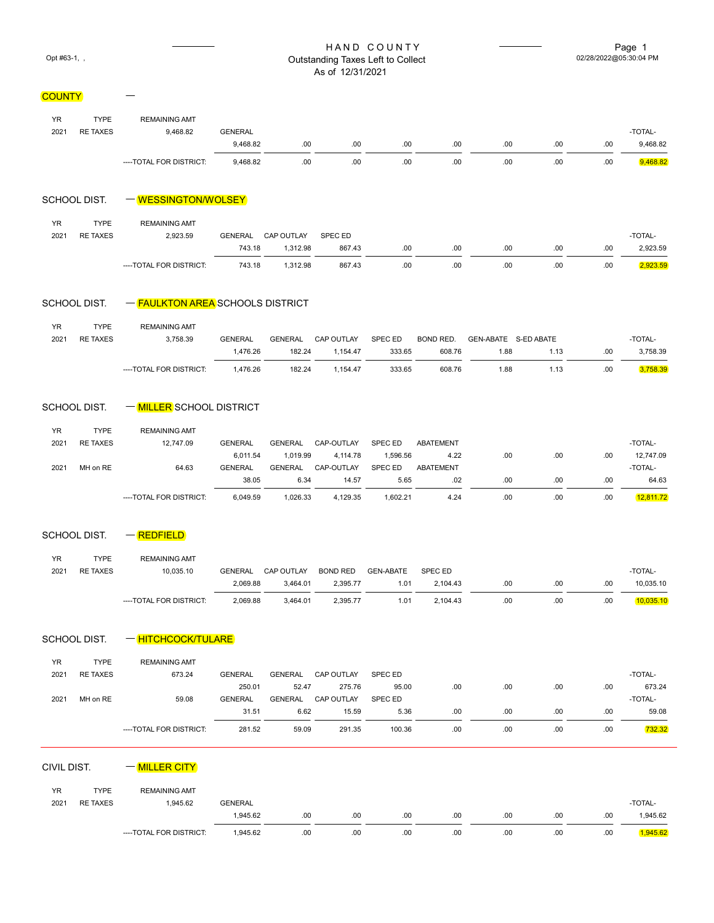#### HAND COUNTY Page 1<br>ding Taxes Left to Collect  $\overline{O(2/28/2022\textcircled{0}^{5.30:04} \text{PM})}$ Opt #63-1, , 02/28/2022 Outstanding Taxes Left to Collect As of 12/31/2021

# **COUNTY**

| <b>YR</b> | <b>TYPE</b>     | <b>REMAINING AMT</b>    |                |     |     |      |     |     |     |     |          |
|-----------|-----------------|-------------------------|----------------|-----|-----|------|-----|-----|-----|-----|----------|
| 2021      | <b>RE TAXES</b> | 9.468.82                | <b>GENERAL</b> |     |     |      |     |     |     |     | -TOTAL-  |
|           |                 |                         | 9.468.82       | .00 | .00 | .00  | .00 | .00 | .00 | .00 | 9,468.82 |
|           |                 | ----TOTAL FOR DISTRICT: | 9.468.82       | .00 | .00 | .00. | .00 | .00 | .00 | .00 | 9,468.82 |

#### $SCHOOL$  DIST.  $WESSINGTON/WOLSEY$

 $\overline{\phantom{0}}$ 

| YR   | TYPE            | <b>REMAINING AMT</b>    |                |            |         |     |     |      |     |     |          |
|------|-----------------|-------------------------|----------------|------------|---------|-----|-----|------|-----|-----|----------|
| 2021 | <b>RE TAXES</b> | 2.923.59                | <b>GENERAL</b> | CAP OUTLAY | SPEC ED |     |     |      |     |     | -TOTAL-  |
|      |                 |                         | 743.18         | 1.312.98   | 867.43  | .00 | .00 | .00. | .00 | .00 | 2,923.59 |
|      |                 | ----TOTAL FOR DISTRICT: | 743.18         | 1.312.98   | 867.43  | .00 | .00 | .00. | .00 | .00 | ,923.59  |

### SCHOOL DIST.  $-\frac{F A U L K T O N A R E A}{F A V L K T O N A R F A}$ SCHOOLS DISTRICT

| YR.  | TYPE            | <b>REMAINING AMT</b>    |                |         |            |                |           |                      |      |     |          |
|------|-----------------|-------------------------|----------------|---------|------------|----------------|-----------|----------------------|------|-----|----------|
| 2021 | <b>RE TAXES</b> | 3,758.39                | <b>GENERAL</b> | GENERAL | CAP OUTLAY | <b>SPEC ED</b> | BOND RED. | GEN-ABATE S-ED ABATE |      |     | -TOTAL-  |
|      |                 |                         | 1.476.26       | 182.24  | 1.154.47   | 333.65         | 608.76    | 1.88                 | 1.13 | .00 | 3,758.39 |
|      |                 | ----TOTAL FOR DISTRICT: | 1.476.26       | 182.24  | 1.154.47   | 333.65         | 608.76    | 1.88                 | 1.13 | .00 | 3,758.39 |

#### SCHOOL DIST.  $-\sqrt{\text{MILER}}$ SCHOOL DISTRICT

| <b>YR</b> | TYPE            | <b>REMAINING AMT</b>    |                |                |            |          |           |     |     |     |           |
|-----------|-----------------|-------------------------|----------------|----------------|------------|----------|-----------|-----|-----|-----|-----------|
| 2021      | <b>RE TAXES</b> | 12.747.09               | <b>GENERAL</b> | <b>GENERAL</b> | CAP-OUTLAY | SPEC ED  | ABATEMENT |     |     |     | -TOTAL-   |
|           |                 |                         | 6.011.54       | 1.019.99       | 4.114.78   | 1.596.56 | 4.22      | .00 | .00 | .00 | 12.747.09 |
| 2021      | MH on RE        | 64.63                   | <b>GENERAL</b> | <b>GENERAL</b> | CAP-OUTLAY | SPEC ED  | ABATEMENT |     |     |     | -TOTAL-   |
|           |                 |                         | 38.05          | 6.34           | 14.57      | 5.65     | .02       | .00 | .00 | .00 | 64.63     |
|           |                 | ----TOTAL FOR DISTRICT: | 6.049.59       | 1.026.33       | 4.129.35   | 1.602.21 | 4.24      | .00 | .00 | .00 | 12.811.72 |

### SCHOOL DIST.  $-$  **REDFIELD**

| YR.  | <b>TYPE</b>     | <b>REMAINING AMT</b>    |                |            |                 |                  |          |     |     |     |           |
|------|-----------------|-------------------------|----------------|------------|-----------------|------------------|----------|-----|-----|-----|-----------|
| 2021 | <b>RE TAXES</b> | 10.035.10               | <b>GENERAL</b> | CAP OUTLAY | <b>BOND RED</b> | <b>GEN-ABATE</b> | SPEC ED  |     |     |     | -TOTAL-   |
|      |                 |                         | 2.069.88       | 3.464.01   | 2.395.77        | 1.01             | 2.104.43 | .00 | .00 | .00 | 10.035.10 |
|      |                 | ----TOTAL FOR DISTRICT: | 2.069.88       | 3.464.01   | 2.395.77        | 1.01             | 2.104.43 | .00 | .00 | .00 | 10.035.10 |

SCHOOL DIST. - HITCHCOCK/TULARE

| <b>YR</b> | <b>TYPE</b>     | <b>REMAINING AMT</b>    |                |                |            |                |      |     |     |      |         |
|-----------|-----------------|-------------------------|----------------|----------------|------------|----------------|------|-----|-----|------|---------|
| 2021      | <b>RE TAXES</b> | 673.24                  | <b>GENERAL</b> | <b>GENERAL</b> | CAP OUTLAY | <b>SPEC ED</b> |      |     |     |      | -TOTAL- |
|           |                 |                         | 250.01         | 52.47          | 275.76     | 95.00          | .00. | .00 | .00 | .00  | 673.24  |
| 2021      | MH on RE        | 59.08                   | <b>GENERAL</b> | <b>GENERAL</b> | CAP OUTLAY | SPEC ED        |      |     |     |      | -TOTAL- |
|           |                 |                         | 31.51          | 6.62           | 15.59      | 5.36           | .00. | .00 | .00 | .00. | 59.08   |
|           |                 | ----TOTAL FOR DISTRICT: | 281.52         | 59.09          | 291.35     | 100.36         | .00  | .00 | .00 | .00  | 732.32  |

CIVIL DIST.  $-\sqrt{\frac{MILLER}{N}}$ 

| <b>YR</b> | <b>TYPE</b>     | <b>REMAINING AMT</b>    |                |      |     |      |      |     |     |     |         |
|-----------|-----------------|-------------------------|----------------|------|-----|------|------|-----|-----|-----|---------|
| 2021      | <b>RE TAXES</b> | .945.62                 | <b>GENERAL</b> |      |     |      |      |     |     |     | -TOTAL- |
|           |                 |                         | 945.62         | .00. | .00 | .00. | .00. | .00 | .00 | .00 | .945.62 |
|           |                 | ----TOTAL FOR DISTRICT: | 945.62         | .00. | .00 | .00  | .00. | .00 | .00 | .00 | ,945.62 |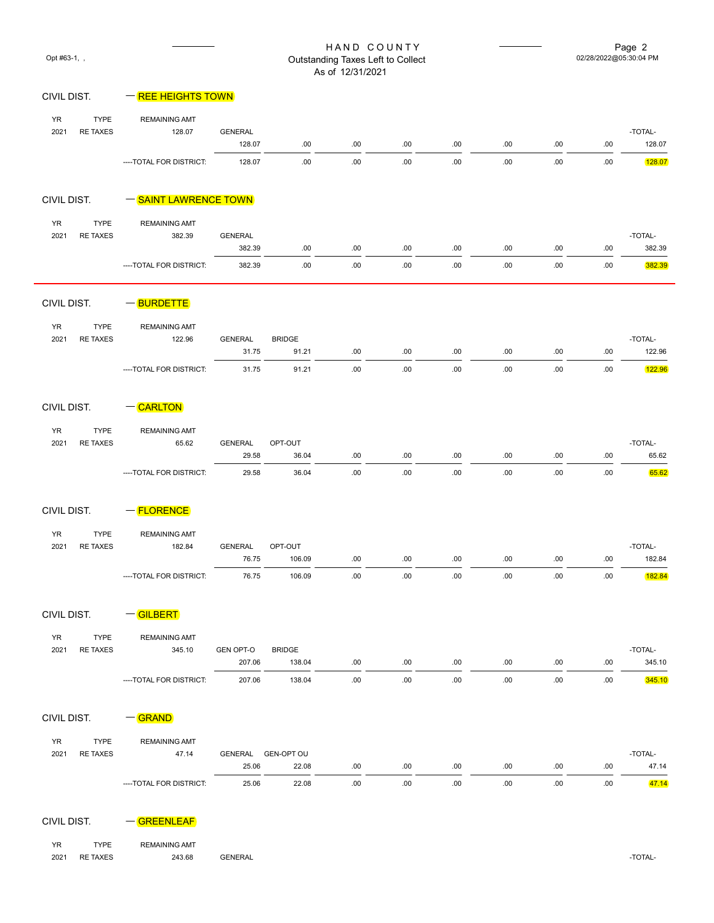| Opt #63-1, ,      |                                |                                  |                            |                             | HAND COUNTY<br>Outstanding Taxes Left to Collect<br>As of 12/31/2021 |              |             |             |             | 02/28/2022@05:30:04 PM | Page 2            |
|-------------------|--------------------------------|----------------------------------|----------------------------|-----------------------------|----------------------------------------------------------------------|--------------|-------------|-------------|-------------|------------------------|-------------------|
| CIVIL DIST.       |                                | - REE HEIGHTS TOWN               |                            |                             |                                                                      |              |             |             |             |                        |                   |
| YR<br>2021        | <b>TYPE</b><br><b>RE TAXES</b> | <b>REMAINING AMT</b><br>128.07   | <b>GENERAL</b><br>128.07   | .00.                        | .00.                                                                 | .00.         | .00         | .00.        | .00.        | .00                    | -TOTAL-<br>128.07 |
|                   |                                | ---- TOTAL FOR DISTRICT:         | 128.07                     | .00.                        | .00.                                                                 | .00          | .00         | .00.        | .00.        | .00                    | 128.07            |
| CIVIL DIST.       |                                | - SAINT LAWRENCE TOWN            |                            |                             |                                                                      |              |             |             |             |                        |                   |
| <b>YR</b><br>2021 | <b>TYPE</b><br><b>RE TAXES</b> | <b>REMAINING AMT</b><br>382.39   | <b>GENERAL</b><br>382.39   | .00.                        | .00.                                                                 | .00.         | .00.        | .00.        | .00         | .00                    | -TOTAL-<br>382.39 |
|                   |                                | ---- TOTAL FOR DISTRICT:         | 382.39                     | .00.                        | .00.                                                                 | .00          | .00         | .00         | .00         | .00                    | 382.39            |
| CIVIL DIST.       |                                | $-\sqrt{\text{BURDETTE}}$        |                            |                             |                                                                      |              |             |             |             |                        |                   |
| YR<br>2021        | <b>TYPE</b><br><b>RE TAXES</b> | <b>REMAINING AMT</b><br>122.96   | <b>GENERAL</b>             | <b>BRIDGE</b>               |                                                                      |              |             |             |             |                        | -TOTAL-           |
|                   |                                |                                  | 31.75                      | 91.21                       | .00.                                                                 | .00.         | .00.        | .00.        | .00         | .00                    | 122.96            |
|                   |                                | ----TOTAL FOR DISTRICT:          | 31.75                      | 91.21                       | .00.                                                                 | .00.         | .00.        | .00.        | .00.        | .00                    | 122.96            |
| CIVIL DIST.       |                                | $-CARLTON$                       |                            |                             |                                                                      |              |             |             |             |                        |                   |
| <b>YR</b><br>2021 | <b>TYPE</b><br><b>RE TAXES</b> | <b>REMAINING AMT</b><br>65.62    | <b>GENERAL</b>             | OPT-OUT                     |                                                                      |              |             |             |             |                        | -TOTAL-           |
|                   |                                | ---- TOTAL FOR DISTRICT:         | 29.58<br>29.58             | 36.04<br>36.04              | .00.<br>.00.                                                         | .00.<br>.00. | .00.<br>.00 | .00<br>.00. | .00.<br>.00 | .00<br>.00             | 65.62<br>65.62    |
|                   |                                |                                  |                            |                             |                                                                      |              |             |             |             |                        |                   |
| CIVIL DIST.       |                                | $=$ FLORENCE                     |                            |                             |                                                                      |              |             |             |             |                        |                   |
| <b>YR</b><br>2021 | <b>TYPE</b><br><b>RE TAXES</b> | <b>REMAINING AMT</b><br>182.84   | <b>GENERAL</b>             | OPT-OUT                     |                                                                      |              |             |             |             |                        | -TOTAL-           |
|                   |                                |                                  | 76.75                      | 106.09                      | .00.                                                                 | .00          | .00.        | .00         | .00.        | .00                    | 182.84            |
|                   |                                | ----TOTAL FOR DISTRICT:          | 76.75                      | 106.09                      | .00.                                                                 | .00.         | .00.        | .00.        | .00         | .00                    | 182.84            |
| CIVIL DIST.       |                                | $\overline{\phantom{a}}$ GILBERT |                            |                             |                                                                      |              |             |             |             |                        |                   |
| YR<br>2021        | <b>TYPE</b>                    | <b>REMAINING AMT</b>             |                            |                             |                                                                      |              |             |             |             |                        | -TOTAL-           |
|                   | <b>RE TAXES</b>                | 345.10                           | <b>GEN OPT-O</b><br>207.06 | <b>BRIDGE</b><br>138.04     | .00.                                                                 | .00.         | .00.        | .00.        | .00         | .00                    | 345.10            |
|                   |                                | ---- TOTAL FOR DISTRICT:         | 207.06                     | 138.04                      | .00.                                                                 | .00.         | .00.        | .00.        | .00.        | .00.                   | 345.10            |
| CIVIL DIST.       |                                | $-\sqrt{GRAND}$                  |                            |                             |                                                                      |              |             |             |             |                        |                   |
| YR                | <b>TYPE</b>                    | <b>REMAINING AMT</b>             |                            |                             |                                                                      |              |             |             |             |                        |                   |
| 2021              | <b>RE TAXES</b>                | 47.14                            | 25.06                      | GENERAL GEN-OPT OU<br>22.08 | .00.                                                                 | .00.         | .00.        | .00.        | .00.        | .00                    | -TOTAL-<br>47.14  |
|                   |                                | ----TOTAL FOR DISTRICT:          | 25.06                      | 22.08                       | .00.                                                                 | .00.         | .00.        | .00.        | .00         | .00                    | 47.14             |
| CIVIL DIST.       |                                | -GREENLEAF                       |                            |                             |                                                                      |              |             |             |             |                        |                   |

YR TYPE REMAINING AMT 2021 RE TAXES 243.68 GENERAL BERERAL CONSUMING A SERVICE OF A LATER AND TOTAL-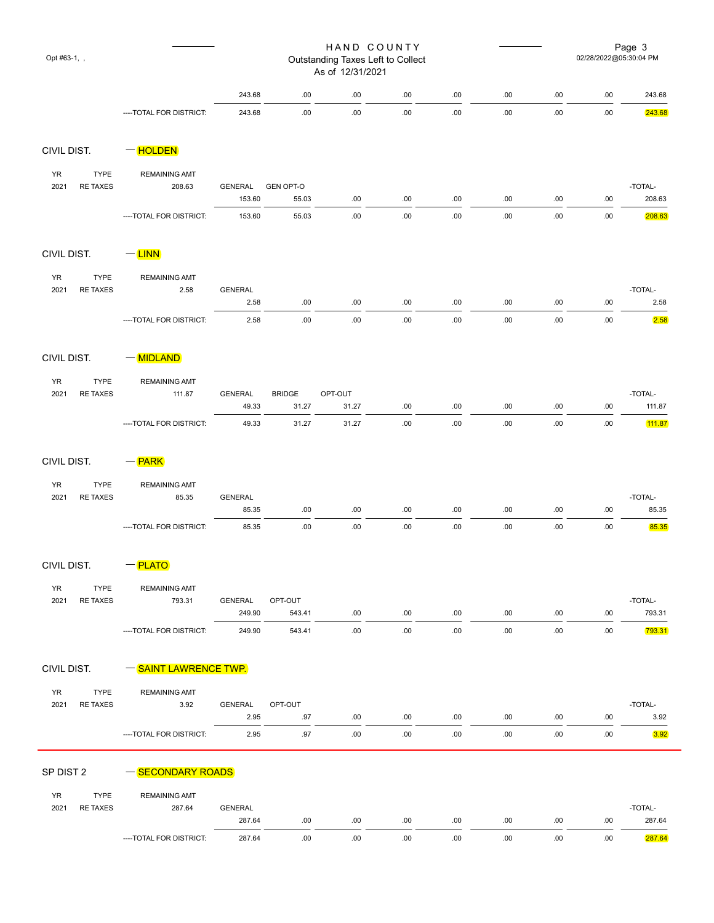| Opt #63-1, , |                                |                               |                         |                        | HAND COUNTY<br>Outstanding Taxes Left to Collect<br>As of 12/31/2021 |      |      | Page 3<br>02/28/2022@05:30:04 PM |      |      |                   |
|--------------|--------------------------------|-------------------------------|-------------------------|------------------------|----------------------------------------------------------------------|------|------|----------------------------------|------|------|-------------------|
|              |                                |                               | 243.68                  | .00                    | .00                                                                  | .00. | .00. | .00                              | .00. | .00  | 243.68            |
|              |                                | ---- TOTAL FOR DISTRICT:      | 243.68                  | .00.                   | .00                                                                  | .00. | .00  | .00                              | .00. | .00  | 243.68            |
| CIVIL DIST.  |                                | $=$ HOLDEN                    |                         |                        |                                                                      |      |      |                                  |      |      |                   |
| <b>YR</b>    | <b>TYPE</b>                    | <b>REMAINING AMT</b>          |                         |                        |                                                                      |      |      |                                  |      |      |                   |
| 2021         | <b>RE TAXES</b>                | 208.63                        | <b>GENERAL</b>          | <b>GEN OPT-O</b>       |                                                                      |      |      |                                  |      |      | -TOTAL-           |
|              |                                |                               | 153.60                  | 55.03                  | .00                                                                  | .00. | .00. | .00                              | .00. | .00  | 208.63            |
|              |                                | ---- TOTAL FOR DISTRICT:      | 153.60                  | 55.03                  | .00                                                                  | .00. | .00. | .00                              | .00. | .00  | 208.63            |
| CIVIL DIST.  |                                | $-$ LINN                      |                         |                        |                                                                      |      |      |                                  |      |      |                   |
| <b>YR</b>    | <b>TYPE</b>                    | <b>REMAINING AMT</b>          |                         |                        |                                                                      |      |      |                                  |      |      |                   |
| 2021         | <b>RE TAXES</b>                | 2.58                          | <b>GENERAL</b><br>2.58  | .00.                   | .00.                                                                 | .00. | .00. | .00.                             | .00. | .00  | -TOTAL-<br>2.58   |
|              |                                | ---- TOTAL FOR DISTRICT:      | 2.58                    | .00.                   | .00.                                                                 | .00. | .00. | .00                              | .00. | .00  | 2.58              |
|              |                                |                               |                         |                        |                                                                      |      |      |                                  |      |      |                   |
| CIVIL DIST.  |                                | $-\sqrt{\text{MIDLAND}}$      |                         |                        |                                                                      |      |      |                                  |      |      |                   |
| <b>YR</b>    | <b>TYPE</b>                    | <b>REMAINING AMT</b>          |                         |                        |                                                                      |      |      |                                  |      |      |                   |
| 2021         | <b>RE TAXES</b>                | 111.87                        | <b>GENERAL</b><br>49.33 | <b>BRIDGE</b><br>31.27 | OPT-OUT<br>31.27                                                     | .00. | .00. | .00                              | .00. | .00  | -TOTAL-<br>111.87 |
|              |                                | ---- TOTAL FOR DISTRICT:      | 49.33                   | 31.27                  | 31.27                                                                | .00. | .00. | .00                              | .00. | .00  | 111.87            |
| CIVIL DIST.  |                                | $-\sqrt{\mathsf{PARK}}$       |                         |                        |                                                                      |      |      |                                  |      |      |                   |
|              |                                |                               |                         |                        |                                                                      |      |      |                                  |      |      |                   |
| YR<br>2021   | <b>TYPE</b><br><b>RE TAXES</b> | <b>REMAINING AMT</b><br>85.35 | <b>GENERAL</b>          |                        |                                                                      |      |      |                                  |      |      | -TOTAL-           |
|              |                                |                               | 85.35                   | .00                    | .00                                                                  | .00. | .00. | .00.                             | .00. | .00  | 85.35             |
|              |                                | ----TOTAL FOR DISTRICT:       | 85.35                   | .00                    | .00.                                                                 | .00. | .00. | .00                              | .00. | .00  | 85.35             |
| CIVIL DIST.  |                                | $-\sqrt{\text{PLATO}}$        |                         |                        |                                                                      |      |      |                                  |      |      |                   |
| YR           | <b>TYPE</b>                    | <b>REMAINING AMT</b>          |                         |                        |                                                                      |      |      |                                  |      |      |                   |
| 2021         | <b>RE TAXES</b>                | 793.31                        | <b>GENERAL</b>          | OPT-OUT                |                                                                      |      |      |                                  |      |      | -TOTAL-           |
|              |                                |                               | 249.90                  | 543.41                 | .00.                                                                 | .00. | .00. | .00.                             | .00. | .00  | 793.31            |
|              |                                | ---- TOTAL FOR DISTRICT:      | 249.90                  | 543.41                 | .00.                                                                 | .00. | .00. | .00.                             | .00. | .00. | 793.31            |
| CIVIL DIST.  |                                | - SAINT LAWRENCE TWP          |                         |                        |                                                                      |      |      |                                  |      |      |                   |
| YR           | <b>TYPE</b>                    | <b>REMAINING AMT</b>          |                         |                        |                                                                      |      |      |                                  |      |      |                   |
| 2021         | <b>RE TAXES</b>                | 3.92                          | GENERAL                 | OPT-OUT                |                                                                      |      |      |                                  |      |      | -TOTAL-           |
|              |                                |                               | 2.95                    | .97                    | .00.                                                                 | .00. | .00. | .00.                             | .00  | .00  | 3.92              |
|              |                                | ----TOTAL FOR DISTRICT:       | 2.95                    | .97                    | .00                                                                  | .00. | .00. | .00.                             | .00. | .00. | 3.92              |
| SP DIST 2    |                                | - SECONDARY ROADS             |                         |                        |                                                                      |      |      |                                  |      |      |                   |
| YR           | <b>TYPE</b>                    | <b>REMAINING AMT</b>          |                         |                        |                                                                      |      |      |                                  |      |      |                   |
| 2021         | <b>RE TAXES</b>                | 287.64                        | <b>GENERAL</b>          |                        |                                                                      |      |      |                                  |      |      | -TOTAL-           |
|              |                                |                               | 287.64                  | .00                    | .00.                                                                 | .00. | .00. | .00.                             | .00. | .00  | 287.64            |
|              |                                | ----TOTAL FOR DISTRICT:       | 287.64                  | .00.                   | .00.                                                                 | .00. | .00. | .00.                             | .00. | .00. | 287.64            |